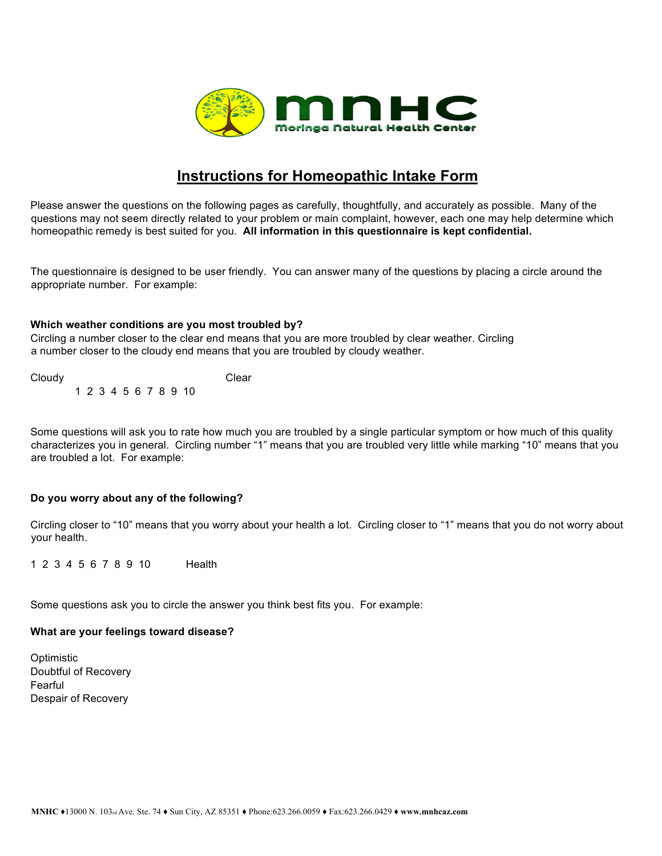

# **Instructions for Homeopathic Intake Form**

Please answer the questions on the following pages as carefully, thoughtfully, and accurately as possible. Many of the questions may not seem directly related to your problem or main complaint, however, each one may help determine which homeopathic remedy is best suited for you. **All information in this questionnaire is kept confidential.**

The questionnaire is designed to be user friendly. You can answer many of the questions by placing a circle around the appropriate number. For example:

## **Which weather conditions are you most troubled by?**

Circling a number closer to the clear end means that you are more troubled by clear weather. Circling a number closer to the cloudy end means that you are troubled by cloudy weather.

Cloudy Clear 1 2 3 4 5 6 7 8 9 10

Some questions will ask you to rate how much you are troubled by a single particular symptom or how much of this quality characterizes you in general. Circling number "1" means that you are troubled very little while marking "10" means that you are troubled a lot. For example:

# **Do you worry about any of the following?**

Circling closer to "10" means that you worry about your health a lot. Circling closer to "1" means that you do not worry about your health.

1 2 3 4 5 6 7 8 9 10 Health

Some questions ask you to circle the answer you think best fits you. For example:

### **What are your feelings toward disease?**

**Optimistic** Doubtful of Recovery Fearful Despair of Recovery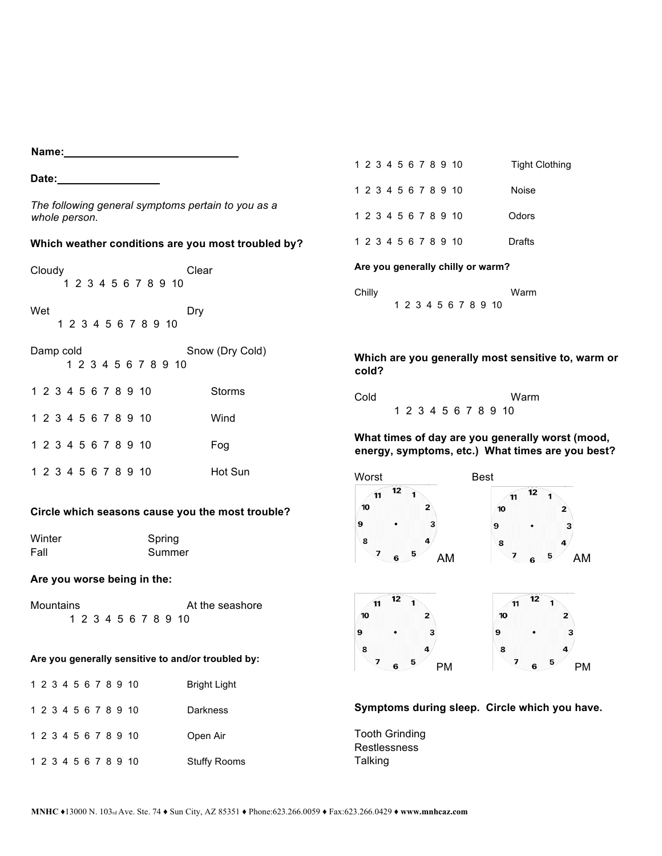**Name:** 

**Date:\_\_\_\_\_\_\_\_\_\_\_\_\_\_\_\_\_**

*The following general symptoms pertain to you as a whole person.* 

## **Which weather conditions are you most troubled by?**

| Cloudy                             |  |  |  |  |  |  |  |  | 1 2 3 4 5 6 7 8 9 10 | Clear           |
|------------------------------------|--|--|--|--|--|--|--|--|----------------------|-----------------|
| Wet<br>Dry<br>1 2 3 4 5 6 7 8 9 10 |  |  |  |  |  |  |  |  |                      |                 |
| Damp cold                          |  |  |  |  |  |  |  |  | 1 2 3 4 5 6 7 8 9 10 | Snow (Dry Cold) |
|                                    |  |  |  |  |  |  |  |  | 1 2 3 4 5 6 7 8 9 10 | Storms          |
|                                    |  |  |  |  |  |  |  |  | 1 2 3 4 5 6 7 8 9 10 | Wind            |
|                                    |  |  |  |  |  |  |  |  | 1 2 3 4 5 6 7 8 9 10 | Fog             |
|                                    |  |  |  |  |  |  |  |  | 1 2 3 4 5 6 7 8 9 10 | Hot Sun         |

### **Circle which seasons cause you the most trouble?**

| Winter | Spring |
|--------|--------|
| Fall   | Summer |

#### **Are you worse being in the:**

| Mountains |  |  |  | At the seashore |  |  |                      |
|-----------|--|--|--|-----------------|--|--|----------------------|
|           |  |  |  |                 |  |  | 1 2 3 4 5 6 7 8 9 10 |

# **Are you generally sensitive to and/or troubled by:**

|  |  |  |  | 1 2 3 4 5 6 7 8 9 10 | Bright Light |
|--|--|--|--|----------------------|--------------|
|  |  |  |  | 1 2 3 4 5 6 7 8 9 10 | Darkness     |
|  |  |  |  | 1 2 3 4 5 6 7 8 9 10 | Open Air     |
|  |  |  |  | 1 2 3 4 5 6 7 8 9 10 | Stuffy Rooms |

|  |  |  |  | 1 2 3 4 5 6 7 8 9 10 | Tight Clothing |
|--|--|--|--|----------------------|----------------|
|  |  |  |  | 1 2 3 4 5 6 7 8 9 10 | Noise          |
|  |  |  |  | 1 2 3 4 5 6 7 8 9 10 | Odors          |
|  |  |  |  | 1 2 3 4 5 6 7 8 9 10 | Drafts         |
|  |  |  |  |                      |                |

**Are you generally chilly or warm?** 

| Chilly |  |  |  |  |                      | Warm |
|--------|--|--|--|--|----------------------|------|
|        |  |  |  |  | 1 2 3 4 5 6 7 8 9 10 |      |

**Which are you generally most sensitive to, warm or cold?** 

| Cold |  |  |  |  | Warm                 |
|------|--|--|--|--|----------------------|
|      |  |  |  |  | 1 2 3 4 5 6 7 8 9 10 |

**What times of day are you generally worst (mood, energy, symptoms, etc.) What times are you best?** 







# **Symptoms during sleep. Circle which you have.**

Tooth Grinding Restlessness **Talking**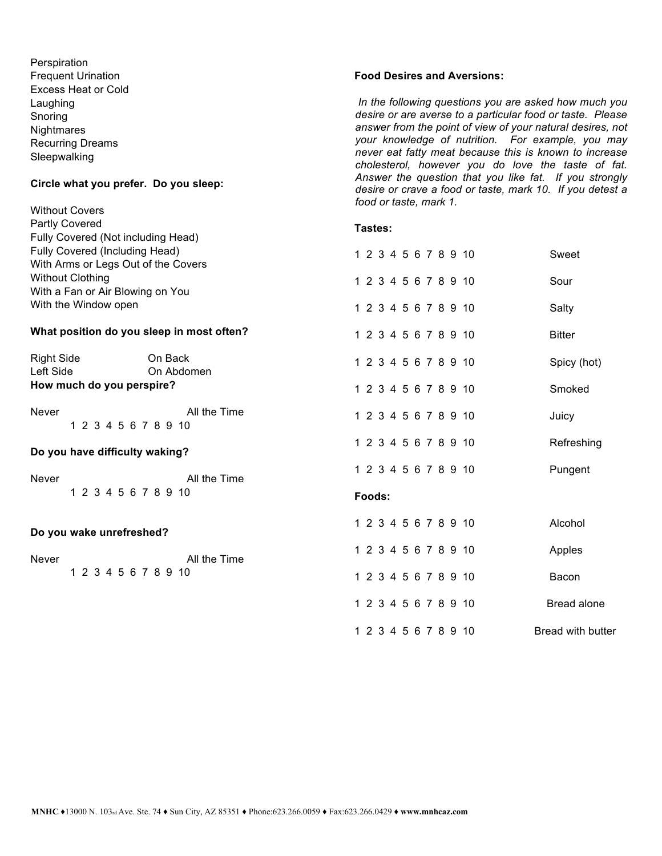**Perspiration** Frequent Urination Excess Heat or Cold Laughing Snoring **Nightmares** Recurring Dreams Sleepwalking

#### **Circle what you prefer. Do you sleep:**

#### Without Covers Partly Covered Fully Covered (Not including Head) Fully Covered (Including Head) With Arms or Legs Out of the Covers Without Clothing With a Fan or Air Blowing on You With the Window open **What position do you sleep in most often?**  Right Side On Back Left Side On Abdomen **How much do you perspire?**  Never **All the Time** 1 2 3 4 5 6 7 8 9 10 **Do you have difficulty waking?**  Never **All the Time** 1 2 3 4 5 6 7 8 9 10 **Do you wake unrefreshed?**  Never **All the Time** 1 2 3 4 5 6 7 8 9 10 **Tastes:**  1 2 3 4 5 6 7 8 9 10 Sweet 1 2 3 4 5 6 7 8 9 10 Sour 1 2 3 4 5 6 7 8 9 10 Salty 1 2 3 4 5 6 7 8 9 10 Bitter 1 2 3 4 5 6 7 8 9 10 Spicy (hot) 1 2 3 4 5 6 7 8 9 10 Smoked 1 2 3 4 5 6 7 8 9 10 Juicy 1 2 3 4 5 6 7 8 9 10 Refreshing 1 2 3 4 5 6 7 8 9 10 Pungent **Foods:**  1 2 3 4 5 6 7 8 9 10 Alcohol 1 2 3 4 5 6 7 8 9 10 Apples 1 2 3 4 5 6 7 8 9 10 Bacon 1 2 3 4 5 6 7 8 9 10 Bread alone 1 2 3 4 5 6 7 8 9 10 Bread with butter

#### **Food Desires and Aversions:**

*In the following questions you are asked how much you desire or are averse to a particular food or taste. Please answer from the point of view of your natural desires, not your knowledge of nutrition. For example, you may never eat fatty meat because this is known to increase cholesterol, however you do love the taste of fat. Answer the question that you like fat. If you strongly desire or crave a food or taste, mark 10. If you detest a food or taste, mark 1.*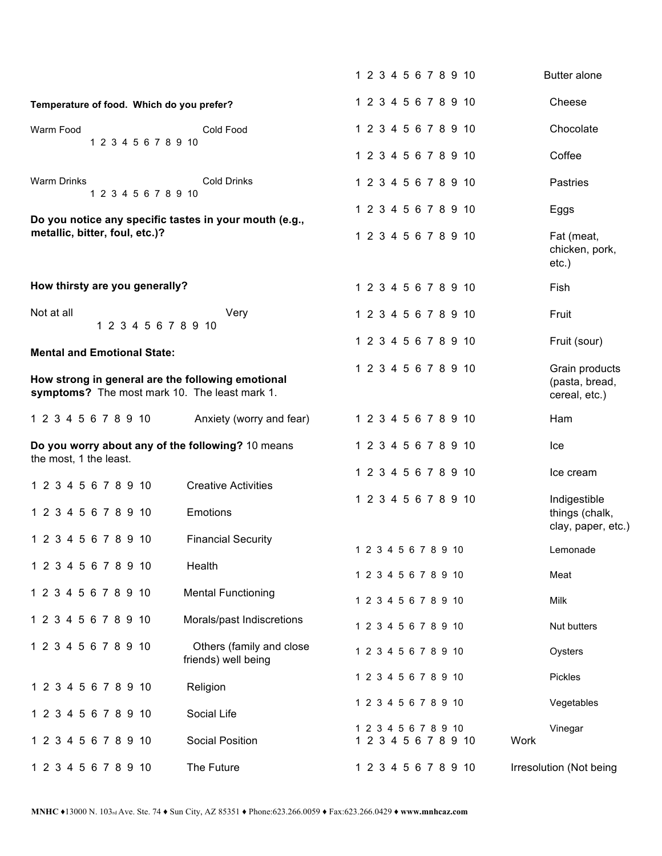|                                                                                                    |                                                 | 1 2 3 4 5 6 7 8 9 10                         | <b>Butter alone</b>                                  |
|----------------------------------------------------------------------------------------------------|-------------------------------------------------|----------------------------------------------|------------------------------------------------------|
| Temperature of food. Which do you prefer?                                                          |                                                 | 1 2 3 4 5 6 7 8 9 10                         | Cheese                                               |
| Warm Food                                                                                          | Cold Food                                       | 1 2 3 4 5 6 7 8 9 10                         | Chocolate                                            |
| 1 2 3 4 5 6 7 8 9 10                                                                               |                                                 | 1 2 3 4 5 6 7 8 9 10                         | Coffee                                               |
| <b>Warm Drinks</b><br>1 2 3 4 5 6 7 8 9 10                                                         | <b>Cold Drinks</b>                              | 1 2 3 4 5 6 7 8 9 10                         | <b>Pastries</b>                                      |
|                                                                                                    |                                                 | 1 2 3 4 5 6 7 8 9 10                         | Eggs                                                 |
| Do you notice any specific tastes in your mouth (e.g.,<br>metallic, bitter, foul, etc.)?           |                                                 | 1 2 3 4 5 6 7 8 9 10                         | Fat (meat,<br>chicken, pork,<br>$etc.$ )             |
| How thirsty are you generally?                                                                     |                                                 | 1 2 3 4 5 6 7 8 9 10                         | Fish                                                 |
| Not at all<br>1 2 3 4 5 6 7 8 9 10                                                                 | Very                                            | 1 2 3 4 5 6 7 8 9 10                         | Fruit                                                |
| <b>Mental and Emotional State:</b>                                                                 |                                                 | 1 2 3 4 5 6 7 8 9 10                         | Fruit (sour)                                         |
| How strong in general are the following emotional<br>symptoms? The most mark 10. The least mark 1. |                                                 | 1 2 3 4 5 6 7 8 9 10                         | Grain products<br>(pasta, bread,<br>cereal, etc.)    |
| 1 2 3 4 5 6 7 8 9 10                                                                               | Anxiety (worry and fear)                        | 1 2 3 4 5 6 7 8 9 10                         | Ham                                                  |
| Do you worry about any of the following? 10 means<br>the most, 1 the least.                        |                                                 | 1 2 3 4 5 6 7 8 9 10                         | Ice                                                  |
| 1 2 3 4 5 6 7 8 9 10                                                                               | <b>Creative Activities</b>                      | 1 2 3 4 5 6 7 8 9 10                         | Ice cream                                            |
| 1 2 3 4 5 6 7 8 9 10                                                                               | Emotions                                        | 1 2 3 4 5 6 7 8 9 10                         | Indigestible<br>things (chalk,<br>clay, paper, etc.) |
| 1 2 3 4 5 6 7 8 9 10                                                                               | <b>Financial Security</b>                       | 1 2 3 4 5 6 7 8 9 10                         | Lemonade                                             |
| 1 2 3 4 5 6 7 8 9 10                                                                               | Health                                          | 1 2 3 4 5 6 7 8 9 10                         | Meat                                                 |
| 1 2 3 4 5 6 7 8 9 10                                                                               | <b>Mental Functioning</b>                       | 1 2 3 4 5 6 7 8 9 10                         | Milk                                                 |
| 1 2 3 4 5 6 7 8 9 10                                                                               | Morals/past Indiscretions                       | 1 2 3 4 5 6 7 8 9 10                         | Nut butters                                          |
| 1 2 3 4 5 6 7 8 9 10                                                                               | Others (family and close<br>friends) well being | 1 2 3 4 5 6 7 8 9 10                         | Oysters                                              |
| 1 2 3 4 5 6 7 8 9 10                                                                               | Religion                                        | 1 2 3 4 5 6 7 8 9 10                         | Pickles                                              |
| 1 2 3 4 5 6 7 8 9 10                                                                               | Social Life                                     | 1 2 3 4 5 6 7 8 9 10                         | Vegetables                                           |
| 1 2 3 4 5 6 7 8 9 10                                                                               | <b>Social Position</b>                          | 1 2 3 4 5 6 7 8 9 10<br>1 2 3 4 5 6 7 8 9 10 | Vinegar<br>Work                                      |
| 1 2 3 4 5 6 7 8 9 10                                                                               | The Future                                      | 1 2 3 4 5 6 7 8 9 10                         | Irresolution (Not being                              |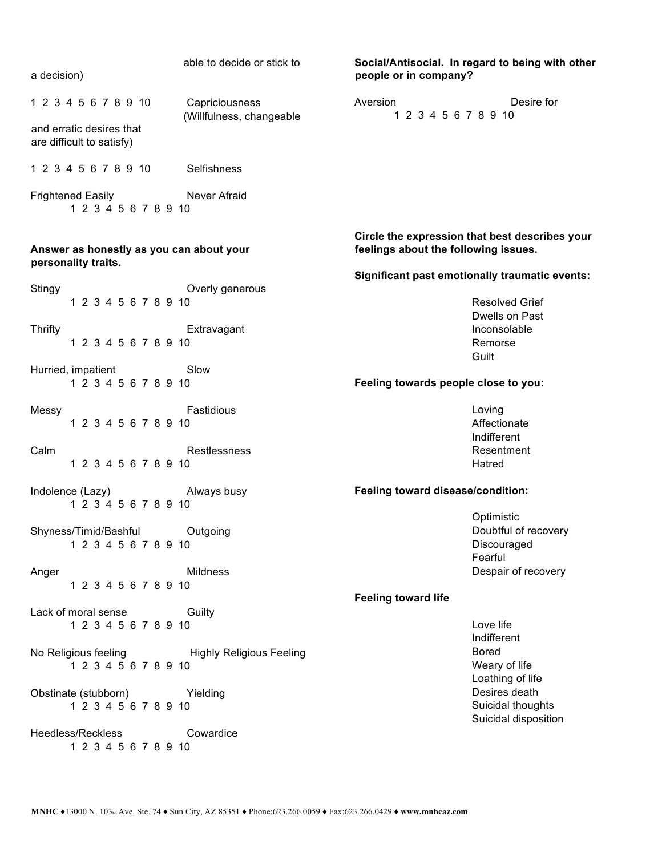| a decision)                                                     | able to decide or stick to                 | people or in company?                | Social/Antisocial. In regard to being with other      |
|-----------------------------------------------------------------|--------------------------------------------|--------------------------------------|-------------------------------------------------------|
| 1 2 3 4 5 6 7 8 9 10                                            | Capriciousness<br>(Willfulness, changeable | Aversion<br>1 2 3 4 5 6 7 8 9 10     | Desire for                                            |
| and erratic desires that<br>are difficult to satisfy)           |                                            |                                      |                                                       |
| 1 2 3 4 5 6 7 8 9 10                                            | Selfishness                                |                                      |                                                       |
| Frightened Easily <b>Never Afraid</b><br>1 2 3 4 5 6 7 8 9 10   |                                            |                                      |                                                       |
| Answer as honestly as you can about your<br>personality traits. |                                            | feelings about the following issues. | Circle the expression that best describes your        |
|                                                                 |                                            |                                      | <b>Significant past emotionally traumatic events:</b> |
| Stingy<br>1 2 3 4 5 6 7 8 9 10                                  | Overly generous                            |                                      | <b>Resolved Grief</b>                                 |
|                                                                 |                                            |                                      | Dwells on Past                                        |
| <b>Thrifty</b>                                                  | Extravagant                                |                                      | Inconsolable                                          |
| 1 2 3 4 5 6 7 8 9 10                                            |                                            |                                      | Remorse                                               |
| Hurried, impatient                                              | Slow                                       |                                      | Guilt                                                 |
| 1 2 3 4 5 6 7 8 9 10                                            |                                            | Feeling towards people close to you: |                                                       |
| Messy                                                           | Fastidious                                 |                                      | Loving                                                |
| 1 2 3 4 5 6 7 8 9 10                                            |                                            |                                      | Affectionate                                          |
| Calm                                                            | Restlessness                               |                                      | Indifferent<br>Resentment                             |
| 1 2 3 4 5 6 7 8 9 10                                            |                                            |                                      | Hatred                                                |
| Indolence (Lazy)<br>1 2 3 4 5 6 7 8 9 10                        | Always busy                                | Feeling toward disease/condition:    |                                                       |
|                                                                 |                                            |                                      | Optimistic                                            |
| Shyness/Timid/Bashful<br>1 2 3 4 5 6 7 8 9 10                   | Outgoing                                   |                                      | Doubtful of recovery<br>Discouraged                   |
|                                                                 |                                            |                                      | Fearful                                               |
| Anger                                                           | <b>Mildness</b>                            |                                      | Despair of recovery                                   |
| 1 2 3 4 5 6 7 8 9 10                                            |                                            |                                      |                                                       |
| Lack of moral sense                                             |                                            | <b>Feeling toward life</b>           |                                                       |
| 1 2 3 4 5 6 7 8 9 10                                            | Guilty                                     |                                      | Love life                                             |
|                                                                 |                                            |                                      | Indifferent                                           |
| No Religious feeling Thighly Religious Feeling                  |                                            |                                      | <b>Bored</b>                                          |
| 1 2 3 4 5 6 7 8 9 10                                            |                                            |                                      | Weary of life                                         |
| Obstinate (stubborn) Yielding                                   |                                            |                                      | Loathing of life<br>Desires death                     |
| 1 2 3 4 5 6 7 8 9 10                                            |                                            |                                      | Suicidal thoughts                                     |
|                                                                 |                                            |                                      | Suicidal disposition                                  |
| Heedless/Reckless<br>1 2 3 4 5 6 7 8 9 10                       | Cowardice                                  |                                      |                                                       |
|                                                                 |                                            |                                      |                                                       |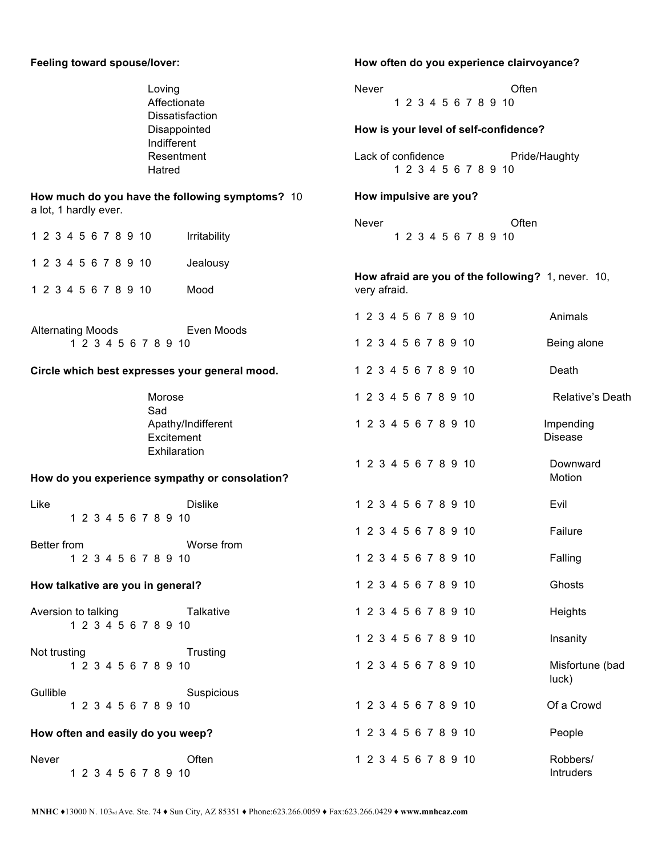| Feeling toward spouse/lover:                                             |                    | How often do you experience clairvoyance? |                                            |  |                                                    |                                  |  |  |
|--------------------------------------------------------------------------|--------------------|-------------------------------------------|--------------------------------------------|--|----------------------------------------------------|----------------------------------|--|--|
| Loving<br>Affectionate                                                   | Dissatisfaction    | Never<br>Often<br>1 2 3 4 5 6 7 8 9 10    |                                            |  |                                                    |                                  |  |  |
|                                                                          | Disappointed       | How is your level of self-confidence?     |                                            |  |                                                    |                                  |  |  |
| Indifferent<br>Resentment<br>Hatred                                      |                    |                                           | Lack of confidence<br>1 2 3 4 5 6 7 8 9 10 |  |                                                    | Pride/Haughty                    |  |  |
| How much do you have the following symptoms? 10<br>a lot, 1 hardly ever. |                    | How impulsive are you?                    |                                            |  |                                                    |                                  |  |  |
| 1 2 3 4 5 6 7 8 9 10                                                     | Irritability       | Never                                     | 1 2 3 4 5 6 7 8 9 10                       |  | Often                                              |                                  |  |  |
| 1 2 3 4 5 6 7 8 9 10                                                     | Jealousy           |                                           |                                            |  |                                                    |                                  |  |  |
| 1 2 3 4 5 6 7 8 9 10                                                     | Mood               | very afraid.                              |                                            |  | How afraid are you of the following? 1, never. 10, |                                  |  |  |
|                                                                          |                    |                                           | 1 2 3 4 5 6 7 8 9 10                       |  |                                                    | Animals                          |  |  |
| <b>Alternating Moods</b><br>1 2 3 4 5 6 7 8 9 10                         | Even Moods         |                                           | 1 2 3 4 5 6 7 8 9 10                       |  |                                                    | Being alone                      |  |  |
| Circle which best expresses your general mood.                           |                    |                                           | 1 2 3 4 5 6 7 8 9 10                       |  |                                                    | Death                            |  |  |
| Morose<br>Sad                                                            |                    |                                           | 1 2 3 4 5 6 7 8 9 10                       |  |                                                    | <b>Relative's Death</b>          |  |  |
| Excitement<br>Exhilaration                                               | Apathy/Indifferent |                                           | 1 2 3 4 5 6 7 8 9 10                       |  |                                                    | Impending<br><b>Disease</b>      |  |  |
| How do you experience sympathy or consolation?                           |                    |                                           | 1 2 3 4 5 6 7 8 9 10                       |  |                                                    | Downward<br>Motion               |  |  |
| Like<br>1 2 3 4 5 6 7 8 9 10                                             | <b>Dislike</b>     |                                           | 1 2 3 4 5 6 7 8 9 10                       |  |                                                    | Evil                             |  |  |
|                                                                          | Worse from         |                                           | 1 2 3 4 5 6 7 8 9 10                       |  |                                                    | Failure                          |  |  |
| Better from<br>1 2 3 4 5 6 7 8 9 10                                      |                    |                                           | 1 2 3 4 5 6 7 8 9 10                       |  |                                                    | Falling                          |  |  |
| How talkative are you in general?                                        |                    |                                           | 1 2 3 4 5 6 7 8 9 10                       |  |                                                    | Ghosts                           |  |  |
| Aversion to talking<br>1 2 3 4 5 6 7 8 9 10                              | Talkative          |                                           | 1 2 3 4 5 6 7 8 9 10                       |  |                                                    | Heights                          |  |  |
| Not trusting                                                             | Trusting           |                                           | 1 2 3 4 5 6 7 8 9 10                       |  |                                                    | Insanity                         |  |  |
| 1 2 3 4 5 6 7 8 9 10                                                     |                    |                                           | 1 2 3 4 5 6 7 8 9 10                       |  |                                                    | Misfortune (bad<br>$ uck\rangle$ |  |  |
| Gullible<br>1 2 3 4 5 6 7 8 9 10                                         | Suspicious         |                                           | 1 2 3 4 5 6 7 8 9 10                       |  |                                                    | Of a Crowd                       |  |  |
| How often and easily do you weep?                                        |                    |                                           | 1 2 3 4 5 6 7 8 9 10                       |  |                                                    | People                           |  |  |
| Never<br>1 2 3 4 5 6 7 8 9 10                                            | Often              |                                           | 1 2 3 4 5 6 7 8 9 10                       |  |                                                    | Robbers/<br>Intruders            |  |  |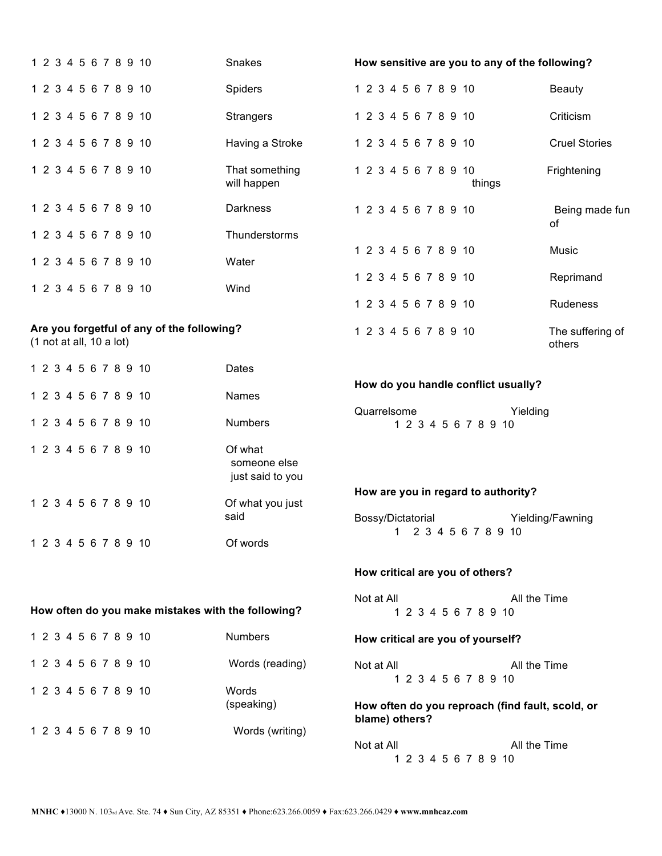| 1 2 3 4 5 6 7 8 9 10                                                       | <b>Snakes</b>                               | How sensitive are you to any of the following?                     |                            |  |  |  |  |
|----------------------------------------------------------------------------|---------------------------------------------|--------------------------------------------------------------------|----------------------------|--|--|--|--|
| 1 2 3 4 5 6 7 8 9 10                                                       | Spiders                                     | 1 2 3 4 5 6 7 8 9 10                                               | <b>Beauty</b>              |  |  |  |  |
| 1 2 3 4 5 6 7 8 9 10                                                       | <b>Strangers</b>                            | 1 2 3 4 5 6 7 8 9 10                                               | Criticism                  |  |  |  |  |
| 1 2 3 4 5 6 7 8 9 10                                                       | Having a Stroke                             | 1 2 3 4 5 6 7 8 9 10                                               | <b>Cruel Stories</b>       |  |  |  |  |
| 1 2 3 4 5 6 7 8 9 10                                                       | That something<br>will happen               | 1 2 3 4 5 6 7 8 9 10<br>things                                     | Frightening                |  |  |  |  |
| 1 2 3 4 5 6 7 8 9 10                                                       | <b>Darkness</b>                             | 1 2 3 4 5 6 7 8 9 10                                               | Being made fun<br>0f       |  |  |  |  |
| 1 2 3 4 5 6 7 8 9 10                                                       | Thunderstorms                               |                                                                    |                            |  |  |  |  |
| 1 2 3 4 5 6 7 8 9 10                                                       | Water                                       | 1 2 3 4 5 6 7 8 9 10                                               | Music                      |  |  |  |  |
| 1 2 3 4 5 6 7 8 9 10                                                       | Wind                                        | 1 2 3 4 5 6 7 8 9 10                                               | Reprimand                  |  |  |  |  |
|                                                                            |                                             | 1 2 3 4 5 6 7 8 9 10                                               | Rudeness                   |  |  |  |  |
| Are you forgetful of any of the following?<br>$(1$ not at all, $10$ a lot) |                                             | 1 2 3 4 5 6 7 8 9 10                                               | The suffering of<br>others |  |  |  |  |
| 1 2 3 4 5 6 7 8 9 10                                                       | <b>Dates</b>                                |                                                                    |                            |  |  |  |  |
| 1 2 3 4 5 6 7 8 9 10                                                       | Names                                       | How do you handle conflict usually?                                |                            |  |  |  |  |
| 1 2 3 4 5 6 7 8 9 10                                                       | <b>Numbers</b>                              | Quarrelsome<br>Yielding<br>1 2 3 4 5 6 7 8 9 10                    |                            |  |  |  |  |
| 1 2 3 4 5 6 7 8 9 10                                                       | Of what<br>someone else<br>just said to you |                                                                    |                            |  |  |  |  |
| 1 2 3 4 5 6 7 8 9 10                                                       | Of what you just                            | How are you in regard to authority?                                |                            |  |  |  |  |
|                                                                            | said                                        | Bossy/Dictatorial<br>Yielding/Fawning                              |                            |  |  |  |  |
| 1 2 3 4 5 6 7 8 9 10                                                       | Of words                                    | 2 3 4 5 6 7 8 9 10<br>1                                            |                            |  |  |  |  |
|                                                                            |                                             | How critical are you of others?                                    |                            |  |  |  |  |
|                                                                            |                                             | All the Time<br>Not at All                                         |                            |  |  |  |  |
| How often do you make mistakes with the following?                         |                                             | 1 2 3 4 5 6 7 8 9 10                                               |                            |  |  |  |  |
| 1 2 3 4 5 6 7 8 9 10                                                       | <b>Numbers</b>                              | How critical are you of yourself?                                  |                            |  |  |  |  |
| 1 2 3 4 5 6 7 8 9 10                                                       | Words (reading)                             | Not at All<br>All the Time<br>1 2 3 4 5 6 7 8 9 10                 |                            |  |  |  |  |
| 1 2 3 4 5 6 7 8 9 10                                                       | Words<br>(speaking)                         | How often do you reproach (find fault, scold, or<br>blame) others? |                            |  |  |  |  |
| 1 2 3 4 5 6 7 8 9 10                                                       | Words (writing)                             | Not at All<br>All the Time<br>1 2 3 4 5 6 7 8 9 10                 |                            |  |  |  |  |